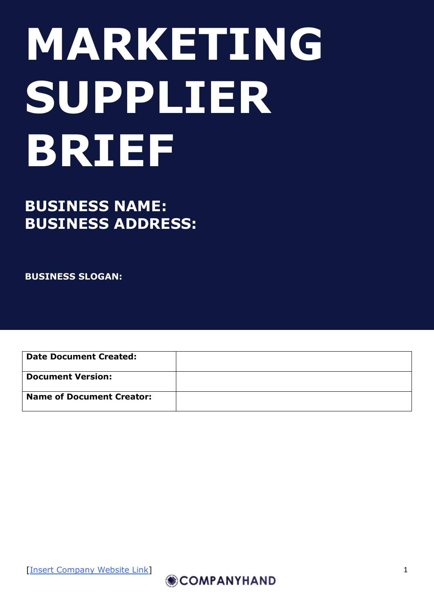# [Insert Company Logo] **MARKETING SUPPLIER BRIEF**

# **BUSINESS NAME: BUSINESS ADDRESS:**

**BUSINESS SLOGAN:**

| <b>Date Document Created:</b>    |  |
|----------------------------------|--|
| <b>Document Version:</b>         |  |
| <b>Name of Document Creator:</b> |  |

[Insert Company Website Link]

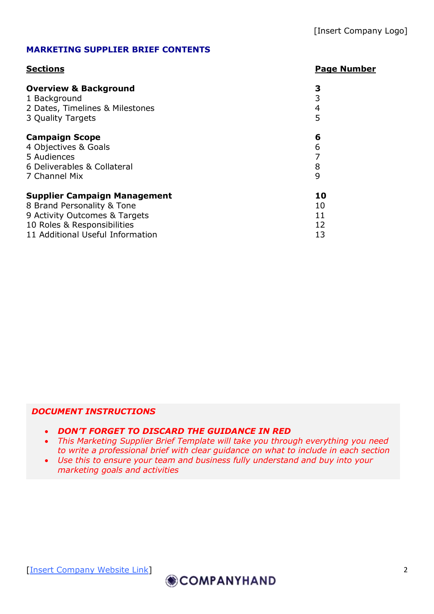# **MARKETING SUPPLIER BRIEF CONTENTS**

| <b>Sections</b>                     | <b>Page Number</b> |
|-------------------------------------|--------------------|
| <b>Overview &amp; Background</b>    | 3                  |
| 1 Background                        | 3                  |
| 2 Dates, Timelines & Milestones     | 4                  |
| 3 Quality Targets                   | 5                  |
| <b>Campaign Scope</b>               | 6                  |
| 4 Objectives & Goals                | 6                  |
| 5 Audiences                         | 7                  |
| 6 Deliverables & Collateral         | 8                  |
| 7 Channel Mix                       | 9                  |
| <b>Supplier Campaign Management</b> | 10                 |
| 8 Brand Personality & Tone          | 10                 |
| 9 Activity Outcomes & Targets       | 11                 |
| 10 Roles & Responsibilities         | 12                 |
| 11 Additional Useful Information    | 13                 |

#### *DOCUMENT INSTRUCTIONS*

- *DON'T FORGET TO DISCARD THE GUIDANCE IN RED*
- *This Marketing Supplier Brief Template will take you through everything you need to write a professional brief with clear guidance on what to include in each section*
- *Use this to ensure your team and business fully understand and buy into your marketing goals and activities*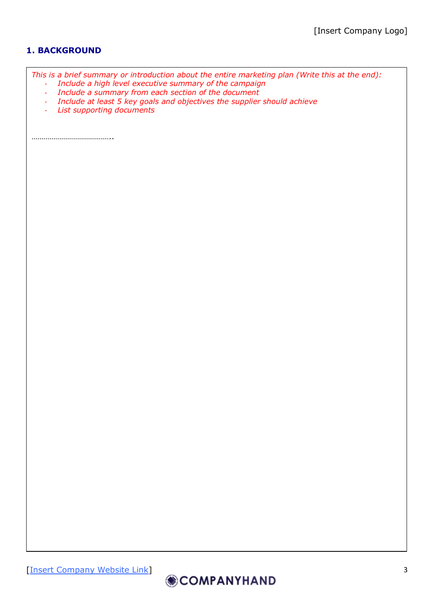# **1. BACKGROUND**

*This is a brief summary or introduction about the entire marketing plan (Write this at the end):*

- *Include a high level executive summary of the campaign* - *Include a summary from each section of the document*
- *Include at least 5 key goals and objectives the supplier should achieve*
- *List supporting documents*

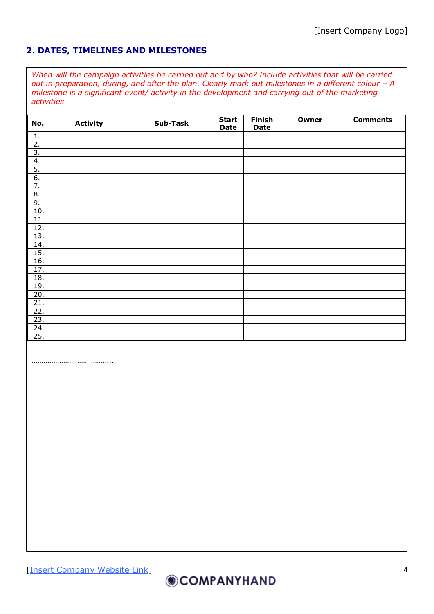#### **2. DATES, TIMELINES AND MILESTONES**

*When will the campaign activities be carried out and by who? Include activities that will be carried out in preparation, during, and after the plan. Clearly mark out milestones in a different colour - A milestone is a significant event/ activity in the development and carrying out of the marketing activities*

| No.               | <b>Activity</b> | Sub-Task | <b>Start</b><br><b>Date</b> | <b>Finish</b><br><b>Date</b> | <b>Owner</b> | <b>Comments</b> |
|-------------------|-----------------|----------|-----------------------------|------------------------------|--------------|-----------------|
| $1.$              |                 |          |                             |                              |              |                 |
| $\overline{2}$ .  |                 |          |                             |                              |              |                 |
| $\overline{3}$ .  |                 |          |                             |                              |              |                 |
| 4.                |                 |          |                             |                              |              |                 |
| $\overline{5}$ .  |                 |          |                             |                              |              |                 |
| 6.                |                 |          |                             |                              |              |                 |
| $\overline{7}$ .  |                 |          |                             |                              |              |                 |
| $\overline{8}$ .  |                 |          |                             |                              |              |                 |
| 9.                |                 |          |                             |                              |              |                 |
| 10.               |                 |          |                             |                              |              |                 |
| 11.               |                 |          |                             |                              |              |                 |
| 12.               |                 |          |                             |                              |              |                 |
| 13.               |                 |          |                             |                              |              |                 |
| 14.               |                 |          |                             |                              |              |                 |
| 15.               |                 |          |                             |                              |              |                 |
| 16.               |                 |          |                             |                              |              |                 |
| 17.               |                 |          |                             |                              |              |                 |
| 18.               |                 |          |                             |                              |              |                 |
| 19.               |                 |          |                             |                              |              |                 |
| 20.               |                 |          |                             |                              |              |                 |
| 21.               |                 |          |                             |                              |              |                 |
| $\overline{22}$ . |                 |          |                             |                              |              |                 |
| 23.               |                 |          |                             |                              |              |                 |
| 24.               |                 |          |                             |                              |              |                 |
| 25.               |                 |          |                             |                              |              |                 |

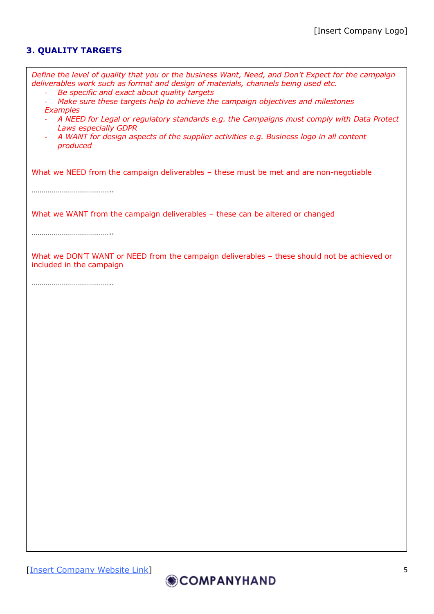# **3. QUALITY TARGETS**

| Define the level of quality that you or the business Want, Need, and Don't Expect for the campaign<br>deliverables work such as format and design of materials, channels being used etc.<br>Be specific and exact about quality targets<br>Make sure these targets help to achieve the campaign objectives and milestones<br><b>Examples</b><br>A NEED for Legal or regulatory standards e.g. the Campaigns must comply with Data Protect<br>Laws especially GDPR<br>A WANT for design aspects of the supplier activities e.g. Business logo in all content<br>÷<br>produced |
|------------------------------------------------------------------------------------------------------------------------------------------------------------------------------------------------------------------------------------------------------------------------------------------------------------------------------------------------------------------------------------------------------------------------------------------------------------------------------------------------------------------------------------------------------------------------------|
| What we NEED from the campaign deliverables - these must be met and are non-negotiable<br>                                                                                                                                                                                                                                                                                                                                                                                                                                                                                   |
| What we WANT from the campaign deliverables - these can be altered or changed                                                                                                                                                                                                                                                                                                                                                                                                                                                                                                |
| What we DON'T WANT or NEED from the campaign deliverables - these should not be achieved or<br>included in the campaign                                                                                                                                                                                                                                                                                                                                                                                                                                                      |
|                                                                                                                                                                                                                                                                                                                                                                                                                                                                                                                                                                              |
|                                                                                                                                                                                                                                                                                                                                                                                                                                                                                                                                                                              |
|                                                                                                                                                                                                                                                                                                                                                                                                                                                                                                                                                                              |
|                                                                                                                                                                                                                                                                                                                                                                                                                                                                                                                                                                              |
|                                                                                                                                                                                                                                                                                                                                                                                                                                                                                                                                                                              |
|                                                                                                                                                                                                                                                                                                                                                                                                                                                                                                                                                                              |
|                                                                                                                                                                                                                                                                                                                                                                                                                                                                                                                                                                              |

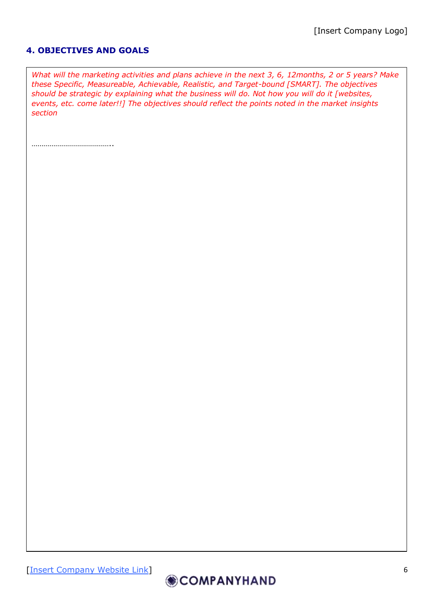#### **4. OBJECTIVES AND GOALS**

*What will the marketing activities and plans achieve in the next 3, 6, 12months, 2 or 5 years? Make these Specific, Measureable, Achievable, Realistic, and Target-bound [SMART]. The objectives should be strategic by explaining what the business will do. Not how you will do it [websites, events, etc. come later!!] The objectives should reflect the points noted in the market insights section*

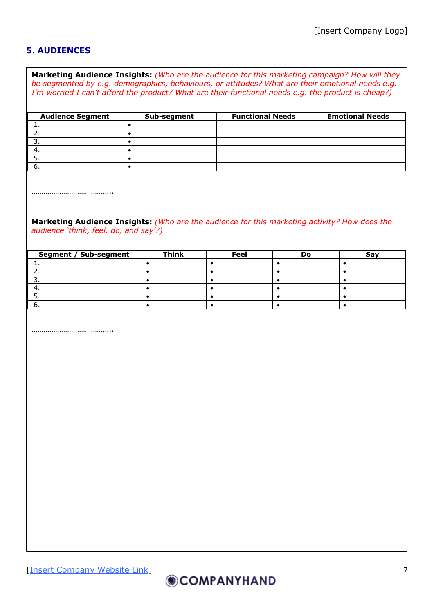# **5. AUDIENCES**

**Marketing Audience Insights:** *(Who are the audience for this marketing campaign? How will they be segmented by e.g. demographics, behaviours, or attitudes? What are their emotional needs e.g. I'm worried I can't afford the product? What are their functional needs e.g. the product is cheap?)*

| <b>Audience Segment</b> | Sub-segment | <b>Functional Needs</b> | <b>Emotional Needs</b> |
|-------------------------|-------------|-------------------------|------------------------|
|                         |             |                         |                        |
|                         |             |                         |                        |
|                         |             |                         |                        |
|                         |             |                         |                        |
|                         |             |                         |                        |
| O.                      |             |                         |                        |

…………………………………..

**Marketing Audience Insights:** *(Who are the audience for this marketing activity? How does the audience 'think, feel, do, and say'?)*

| <b>Segment / Sub-segment</b> | <b>Think</b> | Feel | Do | Sav |
|------------------------------|--------------|------|----|-----|
|                              |              |      |    |     |
|                              |              |      |    |     |
|                              |              |      |    |     |
| т.                           |              |      |    |     |
|                              |              |      |    |     |
|                              |              |      |    |     |

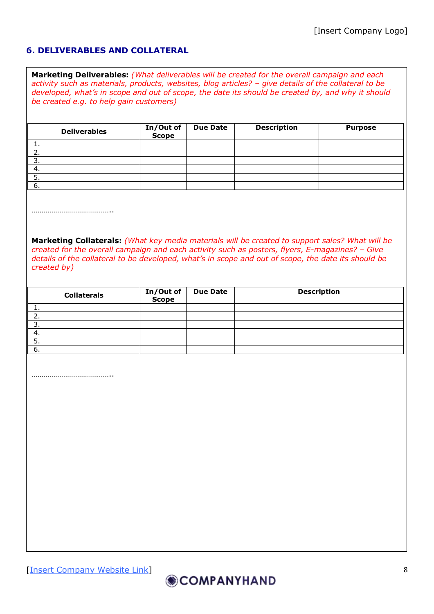## **6. DELIVERABLES AND COLLATERAL**

**Marketing Deliverables:** *(What deliverables will be created for the overall campaign and each activity such as materials, products, websites, blog articles? – give details of the collateral to be developed, what's in scope and out of scope, the date its should be created by, and why it should be created e.g. to help gain customers)*

| <b>Deliverables</b> | In/Out of<br><b>Scope</b> | <b>Due Date</b> | <b>Description</b> | <b>Purpose</b> |
|---------------------|---------------------------|-----------------|--------------------|----------------|
|                     |                           |                 |                    |                |
| <u>.</u>            |                           |                 |                    |                |
| ، پ                 |                           |                 |                    |                |
|                     |                           |                 |                    |                |
|                     |                           |                 |                    |                |
| ত.                  |                           |                 |                    |                |

…………………………………..

**Marketing Collaterals:** *(What key media materials will be created to support sales? What will be created for the overall campaign and each activity such as posters, flyers, E-magazines? – Give details of the collateral to be developed, what's in scope and out of scope, the date its should be created by)*

| <b>Collaterals</b> | In/Out of<br>Scope | <b>Due Date</b> | <b>Description</b> |
|--------------------|--------------------|-----------------|--------------------|
| <u>д.</u>          |                    |                 |                    |
| <u>.</u>           |                    |                 |                    |
| っ<br>υ.            |                    |                 |                    |
| -4.                |                    |                 |                    |
| . ب                |                    |                 |                    |
| 6.                 |                    |                 |                    |

…………………………………………

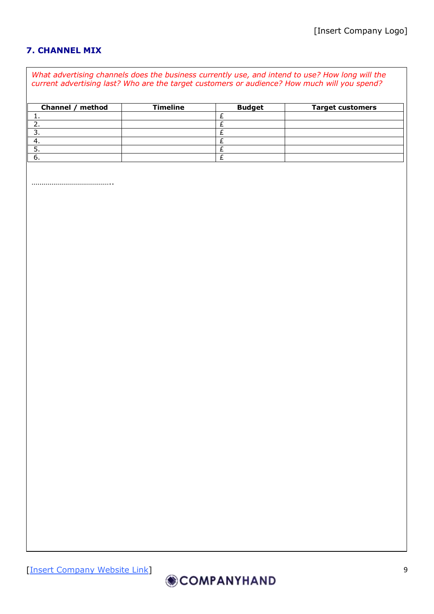# **7. CHANNEL MIX**

*What advertising channels does the business currently use, and intend to use? How long will the current advertising last? Who are the target customers or audience? How much will you spend?*

| Channel / method | <b>Timeline</b> | <b>Budget</b> | <b>Target customers</b> |
|------------------|-----------------|---------------|-------------------------|
|                  |                 |               |                         |
|                  |                 |               |                         |
|                  |                 |               |                         |
|                  |                 |               |                         |
|                  |                 |               |                         |
|                  |                 |               |                         |

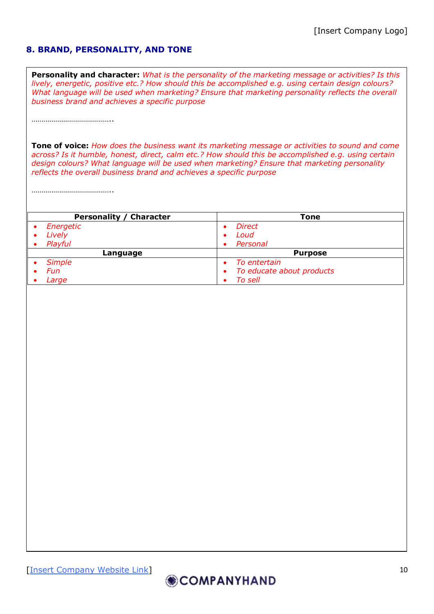#### **8. BRAND, PERSONALITY, AND TONE**

**Personality and character:** *What is the personality of the marketing message or activities? Is this lively, energetic, positive etc.? How should this be accomplished e.g. using certain design colours? What language will be used when marketing? Ensure that marketing personality reflects the overall business brand and achieves a specific purpose*

…………………………………..

**Tone of voice:** *How does the business want its marketing message or activities to sound and come across? Is it humble, honest, direct, calm etc.? How should this be accomplished e.g. using certain design colours? What language will be used when marketing? Ensure that marketing personality reflects the overall business brand and achieves a specific purpose*

………………………………………

| <b>Personality / Character</b> | Tone                        |
|--------------------------------|-----------------------------|
| Energetic                      | <b>Direct</b>               |
| Lively                         | Loud                        |
| Playful                        | Personal<br>$\bullet$       |
| Language                       | <b>Purpose</b>              |
| <b>Simple</b>                  | To entertain                |
| Fun                            | • To educate about products |
| Large                          | To sell                     |

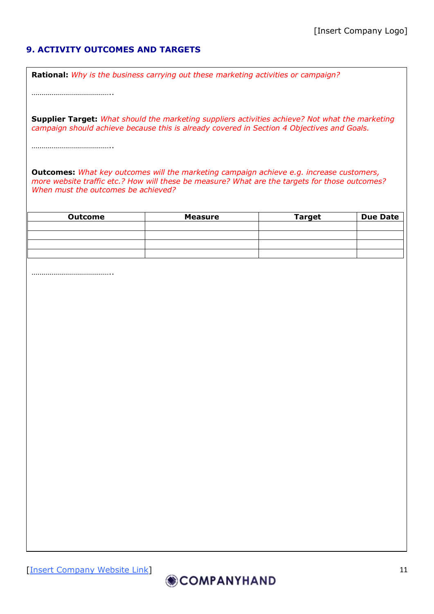# **9. ACTIVITY OUTCOMES AND TARGETS**

**Rational:** *Why is the business carrying out these marketing activities or campaign?*

…………………………………..

**Supplier Target:** *What should the marketing suppliers activities achieve? Not what the marketing campaign should achieve because this is already covered in Section 4 Objectives and Goals.*

…………………………………..

**Outcomes:** *What key outcomes will the marketing campaign achieve e.g. increase customers, more website traffic etc.? How will these be measure? What are the targets for those outcomes? When must the outcomes be achieved?*

| <b>Outcome</b> | <b>Measure</b> | <b>Target</b> | <b>Due Date</b> |
|----------------|----------------|---------------|-----------------|
|                |                |               |                 |
|                |                |               |                 |
|                |                |               |                 |
|                |                |               |                 |

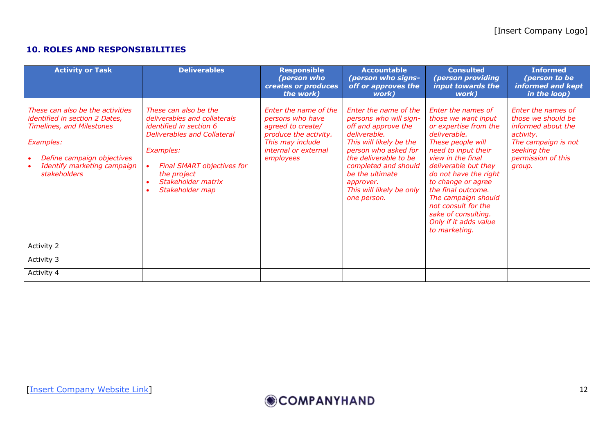#### **10. ROLES AND RESPONSIBILITIES**

| <b>Activity or Task</b>                                                                                                                                                                                 | <b>Deliverables</b>                                                                                                                                                                                                                           | <b>Responsible</b><br>(person who<br>creates or produces<br>the work)                                                                            | <b>Accountable</b><br>(person who signs-<br>off or approves the<br>work)                                                                                                                                                                                              | <b>Consulted</b><br>(person providing<br>input towards the<br>work)                                                                                                                                                                                                                                                                                                    | <b>Informed</b><br>(person to be<br>informed and kept<br>in the loop)                                                                             |
|---------------------------------------------------------------------------------------------------------------------------------------------------------------------------------------------------------|-----------------------------------------------------------------------------------------------------------------------------------------------------------------------------------------------------------------------------------------------|--------------------------------------------------------------------------------------------------------------------------------------------------|-----------------------------------------------------------------------------------------------------------------------------------------------------------------------------------------------------------------------------------------------------------------------|------------------------------------------------------------------------------------------------------------------------------------------------------------------------------------------------------------------------------------------------------------------------------------------------------------------------------------------------------------------------|---------------------------------------------------------------------------------------------------------------------------------------------------|
| These can also be the activities<br>identified in section 2 Dates,<br><b>Timelines, and Milestones</b><br>Examples:<br>Define campaign objectives<br>Identify marketing campaign<br><b>stakeholders</b> | These can also be the<br>deliverables and collaterals<br><i>identified in section 6</i><br><b>Deliverables and Collateral</b><br>Examples:<br>Final SMART objectives for<br>$\bullet$<br>the project<br>Stakeholder matrix<br>Stakeholder map | Enter the name of the<br>persons who have<br>agreed to create/<br>produce the activity.<br>This may include<br>internal or external<br>employees | Enter the name of the<br>persons who will sign-<br>off and approve the<br>deliverable.<br>This will likely be the<br>person who asked for<br>the deliverable to be<br>completed and should<br>be the ultimate<br>approver.<br>This will likely be only<br>one person. | <b>Enter the names of</b><br>those we want input<br>or expertise from the<br>deliverable.<br>These people will<br>need to input their<br>view in the final<br>deliverable but they<br>do not have the right<br>to change or agree<br>the final outcome.<br>The campaign should<br>not consult for the<br>sake of consulting.<br>Only if it adds value<br>to marketing. | Enter the names of<br>those we should be<br>informed about the<br>activity.<br>The campaign is not<br>seeking the<br>permission of this<br>group. |
| Activity 2                                                                                                                                                                                              |                                                                                                                                                                                                                                               |                                                                                                                                                  |                                                                                                                                                                                                                                                                       |                                                                                                                                                                                                                                                                                                                                                                        |                                                                                                                                                   |
| Activity 3                                                                                                                                                                                              |                                                                                                                                                                                                                                               |                                                                                                                                                  |                                                                                                                                                                                                                                                                       |                                                                                                                                                                                                                                                                                                                                                                        |                                                                                                                                                   |
| Activity 4                                                                                                                                                                                              |                                                                                                                                                                                                                                               |                                                                                                                                                  |                                                                                                                                                                                                                                                                       |                                                                                                                                                                                                                                                                                                                                                                        |                                                                                                                                                   |